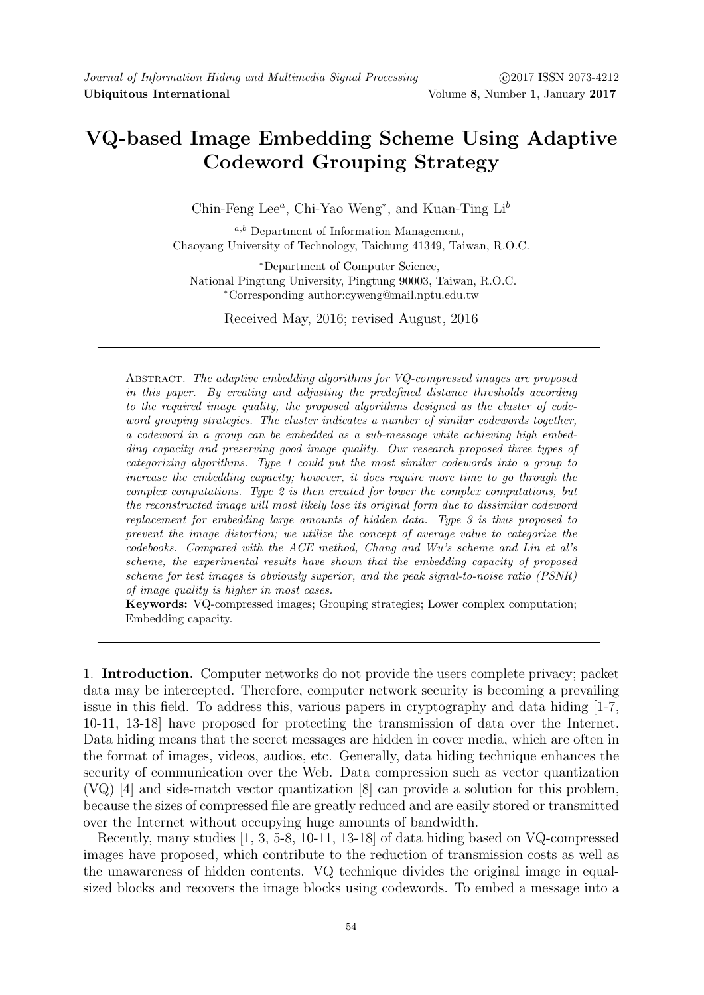# VQ-based Image Embedding Scheme Using Adaptive Codeword Grouping Strategy

Chin-Feng Lee<sup>a</sup>, Chi-Yao Weng<sup>\*</sup>, and Kuan-Ting Li<sup>t</sup>

 $a,b$  Department of Information Management, Chaoyang University of Technology, Taichung 41349, Taiwan, R.O.C.

<sup>∗</sup>Department of Computer Science, National Pingtung University, Pingtung 90003, Taiwan, R.O.C. <sup>∗</sup>Corresponding author:cyweng@mail.nptu.edu.tw

Received May, 2016; revised August, 2016

ABSTRACT. The adaptive embedding algorithms for VO-compressed images are proposed in this paper. By creating and adjusting the predefined distance thresholds according to the required image quality, the proposed algorithms designed as the cluster of codeword grouping strategies. The cluster indicates a number of similar codewords together, a codeword in a group can be embedded as a sub-message while achieving high embedding capacity and preserving good image quality. Our research proposed three types of categorizing algorithms. Type 1 could put the most similar codewords into a group to increase the embedding capacity; however, it does require more time to go through the complex computations. Type 2 is then created for lower the complex computations, but the reconstructed image will most likely lose its original form due to dissimilar codeword replacement for embedding large amounts of hidden data. Type 3 is thus proposed to prevent the image distortion; we utilize the concept of average value to categorize the codebooks. Compared with the ACE method, Chang and Wu's scheme and Lin et al's scheme, the experimental results have shown that the embedding capacity of proposed scheme for test images is obviously superior, and the peak signal-to-noise ratio (PSNR) of image quality is higher in most cases.

Keywords: VQ-compressed images; Grouping strategies; Lower complex computation; Embedding capacity.

1. Introduction. Computer networks do not provide the users complete privacy; packet data may be intercepted. Therefore, computer network security is becoming a prevailing issue in this field. To address this, various papers in cryptography and data hiding [1-7, 10-11, 13-18] have proposed for protecting the transmission of data over the Internet. Data hiding means that the secret messages are hidden in cover media, which are often in the format of images, videos, audios, etc. Generally, data hiding technique enhances the security of communication over the Web. Data compression such as vector quantization (VQ) [4] and side-match vector quantization [8] can provide a solution for this problem, because the sizes of compressed file are greatly reduced and are easily stored or transmitted over the Internet without occupying huge amounts of bandwidth.

Recently, many studies [1, 3, 5-8, 10-11, 13-18] of data hiding based on VQ-compressed images have proposed, which contribute to the reduction of transmission costs as well as the unawareness of hidden contents. VQ technique divides the original image in equalsized blocks and recovers the image blocks using codewords. To embed a message into a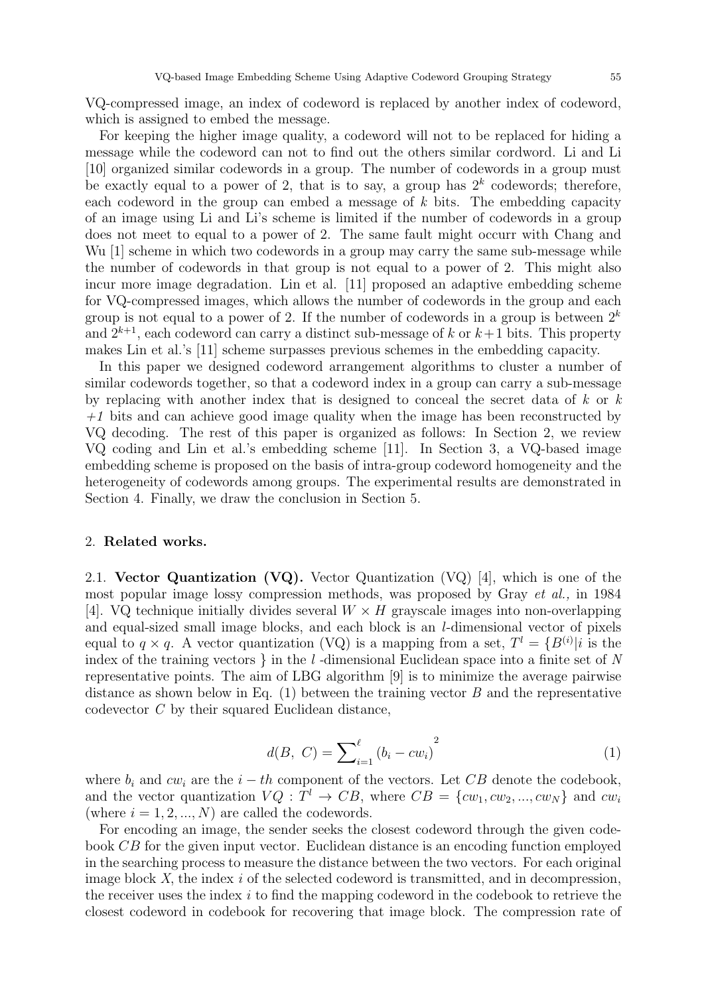VQ-compressed image, an index of codeword is replaced by another index of codeword, which is assigned to embed the message.

For keeping the higher image quality, a codeword will not to be replaced for hiding a message while the codeword can not to find out the others similar cordword. Li and Li [10] organized similar codewords in a group. The number of codewords in a group must be exactly equal to a power of 2, that is to say, a group has  $2^k$  codewords; therefore, each codeword in the group can embed a message of k bits. The embedding capacity of an image using Li and Li's scheme is limited if the number of codewords in a group does not meet to equal to a power of 2. The same fault might occurr with Chang and Wu [1] scheme in which two codewords in a group may carry the same sub-message while the number of codewords in that group is not equal to a power of 2. This might also incur more image degradation. Lin et al. [11] proposed an adaptive embedding scheme for VQ-compressed images, which allows the number of codewords in the group and each group is not equal to a power of 2. If the number of codewords in a group is between  $2^k$ and  $2^{k+1}$ , each codeword can carry a distinct sub-message of k or  $k+1$  bits. This property makes Lin et al.'s [11] scheme surpasses previous schemes in the embedding capacity.

In this paper we designed codeword arrangement algorithms to cluster a number of similar codewords together, so that a codeword index in a group can carry a sub-message by replacing with another index that is designed to conceal the secret data of  $k$  or  $k$  $+1$  bits and can achieve good image quality when the image has been reconstructed by VQ decoding. The rest of this paper is organized as follows: In Section 2, we review VQ coding and Lin et al.'s embedding scheme [11]. In Section 3, a VQ-based image embedding scheme is proposed on the basis of intra-group codeword homogeneity and the heterogeneity of codewords among groups. The experimental results are demonstrated in Section 4. Finally, we draw the conclusion in Section 5.

## 2. Related works.

2.1. Vector Quantization (VQ). Vector Quantization (VQ) [4], which is one of the most popular image lossy compression methods, was proposed by Gray et al., in 1984 [4]. VQ technique initially divides several  $W \times H$  grayscale images into non-overlapping and equal-sized small image blocks, and each block is an l-dimensional vector of pixels equal to  $q \times q$ . A vector quantization (VQ) is a mapping from a set,  $T^l = \{B^{(i)} | i$  is the index of the training vectors  $\}$  in the  $l$ -dimensional Euclidean space into a finite set of  $N$ representative points. The aim of LBG algorithm [9] is to minimize the average pairwise distance as shown below in Eq.  $(1)$  between the training vector B and the representative codevector C by their squared Euclidean distance,

$$
d(B, C) = \sum_{i=1}^{\ell} (b_i - cw_i)^2
$$
 (1)

where  $b_i$  and  $cw_i$  are the  $i-th$  component of the vectors. Let CB denote the codebook, and the vector quantization  $VQ: T^l \to CB$ , where  $CB = \{cw_1, cw_2, ..., cw_N\}$  and  $cw_i$ (where  $i = 1, 2, ..., N$ ) are called the codewords.

For encoding an image, the sender seeks the closest codeword through the given codebook CB for the given input vector. Euclidean distance is an encoding function employed in the searching process to measure the distance between the two vectors. For each original image block  $X$ , the index  $i$  of the selected codeword is transmitted, and in decompression, the receiver uses the index  $i$  to find the mapping codeword in the codebook to retrieve the closest codeword in codebook for recovering that image block. The compression rate of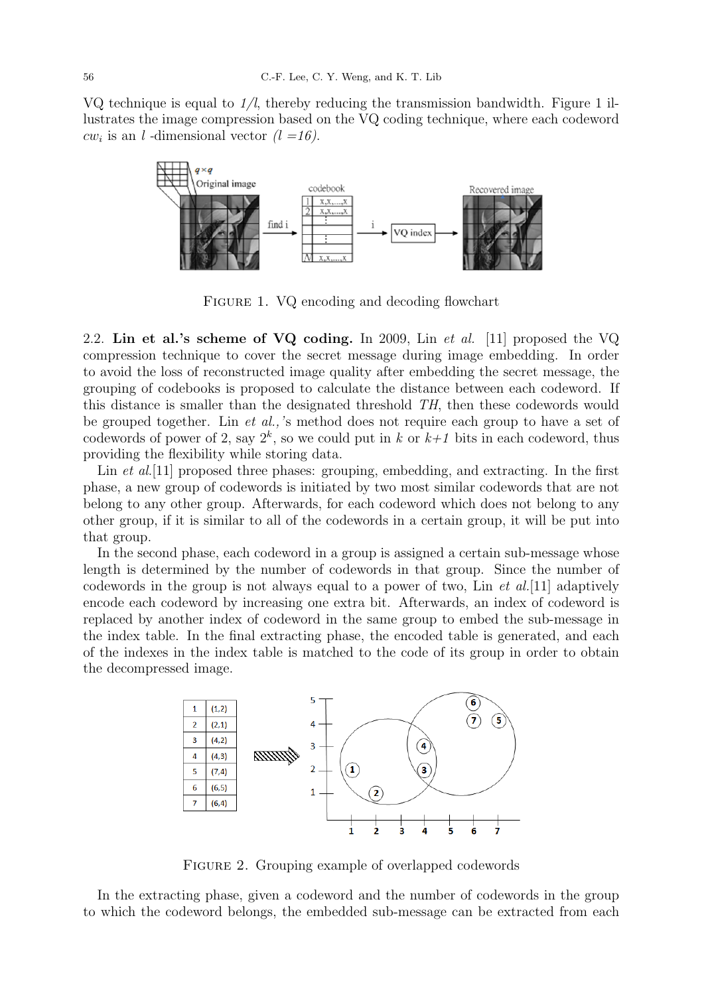VQ technique is equal to  $1/l$ , thereby reducing the transmission bandwidth. Figure 1 illustrates the image compression based on the VQ coding technique, where each codeword  $cw_i$  is an l-dimensional vector  $(l = 16)$ .



FIGURE 1. VQ encoding and decoding flowchart

2.2. Lin et al.'s scheme of VQ coding. In 2009, Lin et al. [11] proposed the VQ compression technique to cover the secret message during image embedding. In order to avoid the loss of reconstructed image quality after embedding the secret message, the grouping of codebooks is proposed to calculate the distance between each codeword. If this distance is smaller than the designated threshold TH, then these codewords would be grouped together. Lin et al.,'s method does not require each group to have a set of codewords of power of 2, say  $2^k$ , so we could put in k or  $k+1$  bits in each codeword, thus providing the flexibility while storing data.

Lin *et al.*[11] proposed three phases: grouping, embedding, and extracting. In the first phase, a new group of codewords is initiated by two most similar codewords that are not belong to any other group. Afterwards, for each codeword which does not belong to any other group, if it is similar to all of the codewords in a certain group, it will be put into that group.

In the second phase, each codeword in a group is assigned a certain sub-message whose length is determined by the number of codewords in that group. Since the number of codewords in the group is not always equal to a power of two, Lin  $et al.[11]$  adaptively encode each codeword by increasing one extra bit. Afterwards, an index of codeword is replaced by another index of codeword in the same group to embed the sub-message in the index table. In the final extracting phase, the encoded table is generated, and each of the indexes in the index table is matched to the code of its group in order to obtain the decompressed image.



Figure 2. Grouping example of overlapped codewords

In the extracting phase, given a codeword and the number of codewords in the group to which the codeword belongs, the embedded sub-message can be extracted from each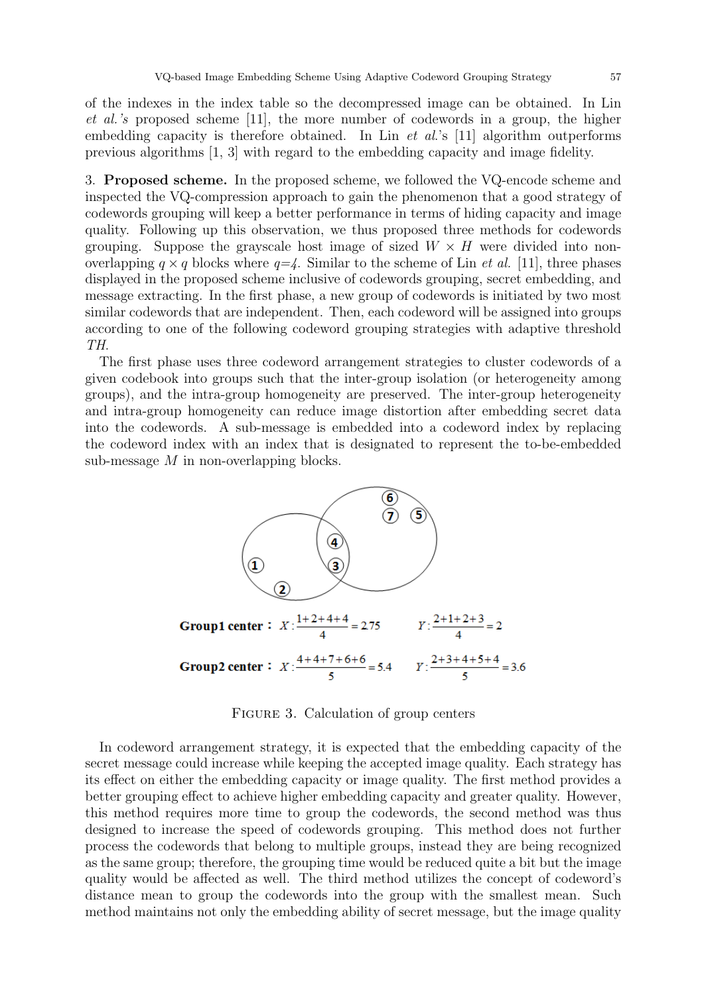of the indexes in the index table so the decompressed image can be obtained. In Lin et al.'s proposed scheme [11], the more number of codewords in a group, the higher embedding capacity is therefore obtained. In Lin  $et$  al.'s [11] algorithm outperforms previous algorithms [1, 3] with regard to the embedding capacity and image fidelity.

3. Proposed scheme. In the proposed scheme, we followed the VQ-encode scheme and inspected the VQ-compression approach to gain the phenomenon that a good strategy of codewords grouping will keep a better performance in terms of hiding capacity and image quality. Following up this observation, we thus proposed three methods for codewords grouping. Suppose the grayscale host image of sized  $W \times H$  were divided into nonoverlapping  $q \times q$  blocks where  $q = 4$ . Similar to the scheme of Lin *et al.* [11], three phases displayed in the proposed scheme inclusive of codewords grouping, secret embedding, and message extracting. In the first phase, a new group of codewords is initiated by two most similar codewords that are independent. Then, each codeword will be assigned into groups according to one of the following codeword grouping strategies with adaptive threshold TH.

The first phase uses three codeword arrangement strategies to cluster codewords of a given codebook into groups such that the inter-group isolation (or heterogeneity among groups), and the intra-group homogeneity are preserved. The inter-group heterogeneity and intra-group homogeneity can reduce image distortion after embedding secret data into the codewords. A sub-message is embedded into a codeword index by replacing the codeword index with an index that is designated to represent the to-be-embedded sub-message  $M$  in non-overlapping blocks.



FIGURE 3. Calculation of group centers

In codeword arrangement strategy, it is expected that the embedding capacity of the secret message could increase while keeping the accepted image quality. Each strategy has its effect on either the embedding capacity or image quality. The first method provides a better grouping effect to achieve higher embedding capacity and greater quality. However, this method requires more time to group the codewords, the second method was thus designed to increase the speed of codewords grouping. This method does not further process the codewords that belong to multiple groups, instead they are being recognized as the same group; therefore, the grouping time would be reduced quite a bit but the image quality would be affected as well. The third method utilizes the concept of codeword's distance mean to group the codewords into the group with the smallest mean. Such method maintains not only the embedding ability of secret message, but the image quality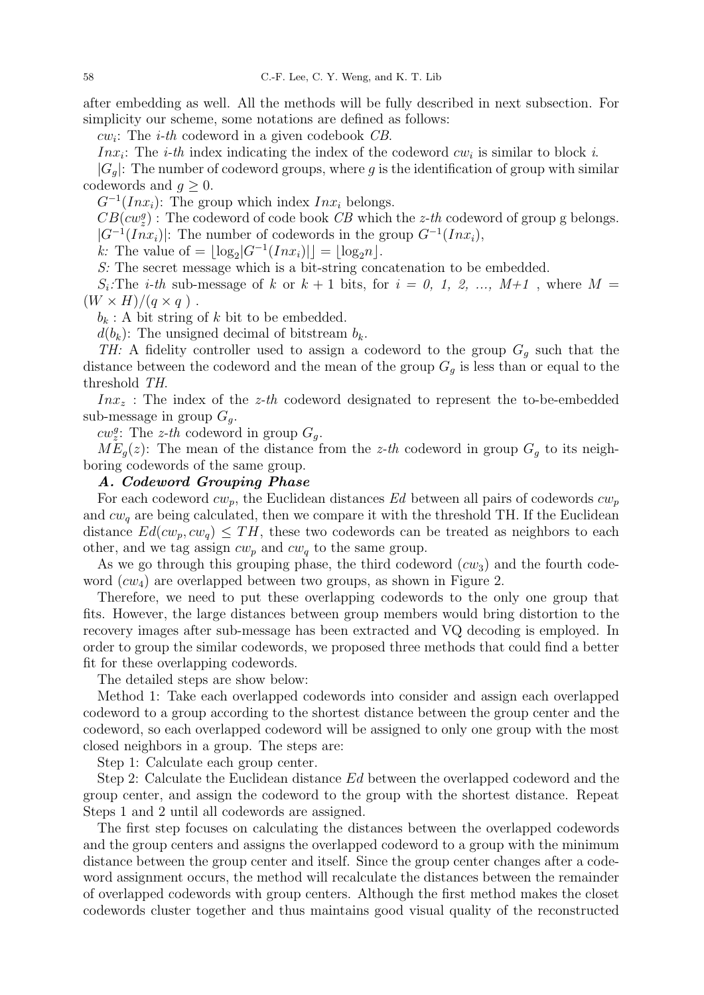after embedding as well. All the methods will be fully described in next subsection. For simplicity our scheme, some notations are defined as follows:

 $cw_i$ : The *i-th* codeword in a given codebook CB.

*Inx<sub>i</sub>*: The *i-th* index indicating the index of the codeword  $cw_i$  is similar to block *i*.

 $|G_q|$ : The number of codeword groups, where g is the identification of group with similar codewords and  $q \geq 0$ .

 $G^{-1}(Inx_i)$ : The group which index  $Inx_i$  belongs.

 $CB(cw_z^g)$ : The codeword of code book  $CB$  which the z-th codeword of group g belongs.  $|G^{-1}(Inx_i)|$ : The number of codewords in the group  $G^{-1}(Inx_i)$ ,

k: The value of =  $\lfloor \log_2 |G^{-1}(Inx_i)| \rfloor = \lfloor \log_2 n \rfloor$ .

S: The secret message which is a bit-string concatenation to be embedded.

 $S_i$ :The *i-th* sub-message of k or  $k + 1$  bits, for  $i = 0, 1, 2, ..., M+1$ , where  $M =$  $(W \times H)/(q \times q)$ .

 $b_k$ : A bit string of k bit to be embedded.

 $d(b_k)$ : The unsigned decimal of bitstream  $b_k$ .

TH: A fidelity controller used to assign a codeword to the group  $G_q$  such that the distance between the codeword and the mean of the group  $G_g$  is less than or equal to the threshold TH.

 $Inx<sub>z</sub>$ : The index of the *z*-th codeword designated to represent the to-be-embedded sub-message in group  $G_q$ .

 $cw_z^g$ : The z-th codeword in group  $G_g$ .

 $ME_q(z)$ : The mean of the distance from the z-th codeword in group  $G_q$  to its neighboring codewords of the same group.

### A. Codeword Grouping Phase

For each codeword  $cw_p$ , the Euclidean distances Ed between all pairs of codewords  $cw_p$ and  $cw<sub>a</sub>$  are being calculated, then we compare it with the threshold TH. If the Euclidean distance  $Ed(cw_p, cw_q) \leq TH$ , these two codewords can be treated as neighbors to each other, and we tag assign  $cw_p$  and  $cw_q$  to the same group.

As we go through this grouping phase, the third codeword  $(cw_3)$  and the fourth codeword  $(cw_4)$  are overlapped between two groups, as shown in Figure 2.

Therefore, we need to put these overlapping codewords to the only one group that fits. However, the large distances between group members would bring distortion to the recovery images after sub-message has been extracted and VQ decoding is employed. In order to group the similar codewords, we proposed three methods that could find a better fit for these overlapping codewords.

The detailed steps are show below:

Method 1: Take each overlapped codewords into consider and assign each overlapped codeword to a group according to the shortest distance between the group center and the codeword, so each overlapped codeword will be assigned to only one group with the most closed neighbors in a group. The steps are:

Step 1: Calculate each group center.

Step 2: Calculate the Euclidean distance Ed between the overlapped codeword and the group center, and assign the codeword to the group with the shortest distance. Repeat Steps 1 and 2 until all codewords are assigned.

The first step focuses on calculating the distances between the overlapped codewords and the group centers and assigns the overlapped codeword to a group with the minimum distance between the group center and itself. Since the group center changes after a codeword assignment occurs, the method will recalculate the distances between the remainder of overlapped codewords with group centers. Although the first method makes the closet codewords cluster together and thus maintains good visual quality of the reconstructed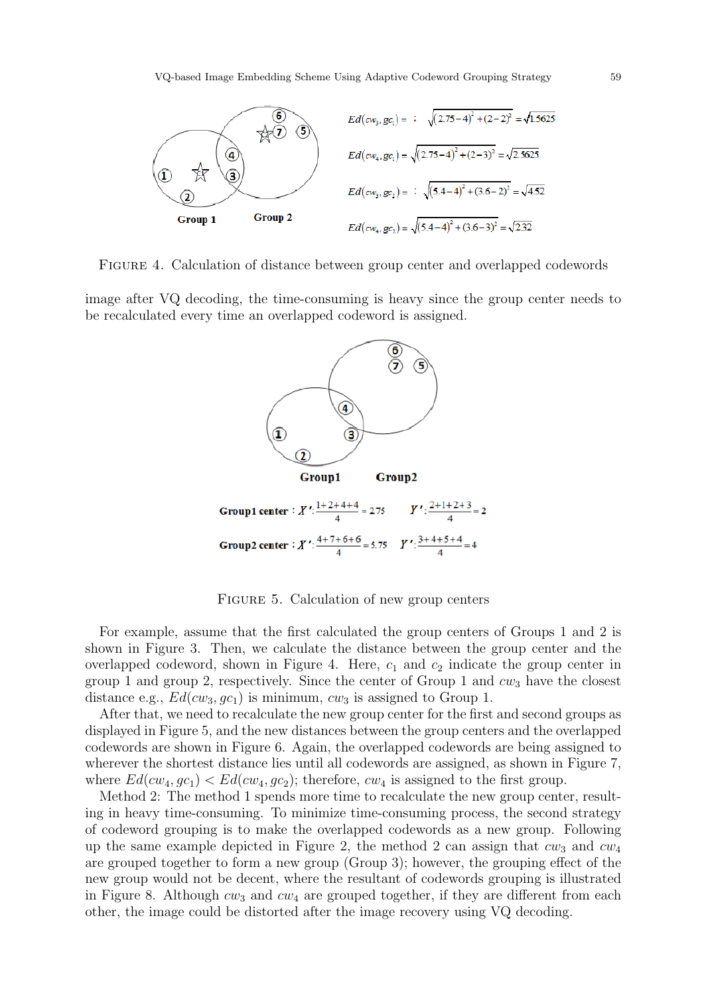

FIGURE 4. Calculation of distance between group center and overlapped codewords

image after VQ decoding, the time-consuming is heavy since the group center needs to be recalculated every time an overlapped codeword is assigned.



FIGURE 5. Calculation of new group centers

For example, assume that the first calculated the group centers of Groups 1 and 2 is shown in Figure 3. Then, we calculate the distance between the group center and the overlapped codeword, shown in Figure 4. Here,  $c_1$  and  $c_2$  indicate the group center in group 1 and group 2, respectively. Since the center of Group 1 and  $cw_3$  have the closest distance e.g.,  $Ed(cw_3, gc_1)$  is minimum,  $cw_3$  is assigned to Group 1.

After that, we need to recalculate the new group center for the first and second groups as displayed in Figure 5, and the new distances between the group centers and the overlapped codewords are shown in Figure 6. Again, the overlapped codewords are being assigned to wherever the shortest distance lies until all codewords are assigned, as shown in Figure 7, where  $Ed(cw_4, gc_1) < Ed(cw_4, gc_2)$ ; therefore,  $cw_4$  is assigned to the first group.

Method 2: The method 1 spends more time to recalculate the new group center, resulting in heavy time-consuming. To minimize time-consuming process, the second strategy of codeword grouping is to make the overlapped codewords as a new group. Following up the same example depicted in Figure 2, the method 2 can assign that  $cw_3$  and  $cw_4$ are grouped together to form a new group (Group 3); however, the grouping effect of the new group would not be decent, where the resultant of codewords grouping is illustrated in Figure 8. Although  $cw_3$  and  $cw_4$  are grouped together, if they are different from each other, the image could be distorted after the image recovery using VQ decoding.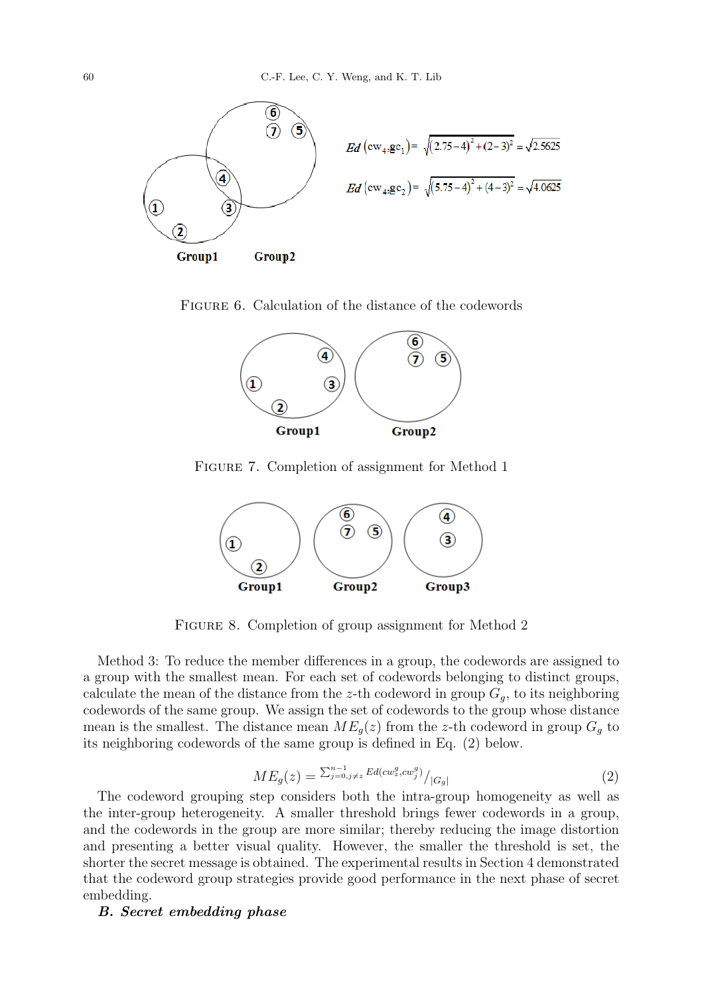

FIGURE 6. Calculation of the distance of the codewords



FIGURE 7. Completion of assignment for Method 1



FIGURE 8. Completion of group assignment for Method 2

Method 3: To reduce the member differences in a group, the codewords are assigned to a group with the smallest mean. For each set of codewords belonging to distinct groups, calculate the mean of the distance from the z-th codeword in group  $G_q$ , to its neighboring codewords of the same group. We assign the set of codewords to the group whose distance mean is the smallest. The distance mean  $ME_q(z)$  from the z-th codeword in group  $G_q$  to its neighboring codewords of the same group is defined in Eq. (2) below.

$$
ME_g(z) = \sum_{j=0, j \neq z}^{n-1} E d(cw_z^g, cw_j^g) / |G_g| \tag{2}
$$

The codeword grouping step considers both the intra-group homogeneity as well as the inter-group heterogeneity. A smaller threshold brings fewer codewords in a group, and the codewords in the group are more similar; thereby reducing the image distortion and presenting a better visual quality. However, the smaller the threshold is set, the shorter the secret message is obtained. The experimental results in Section 4 demonstrated that the codeword group strategies provide good performance in the next phase of secret embedding.

### B. Secret embedding phase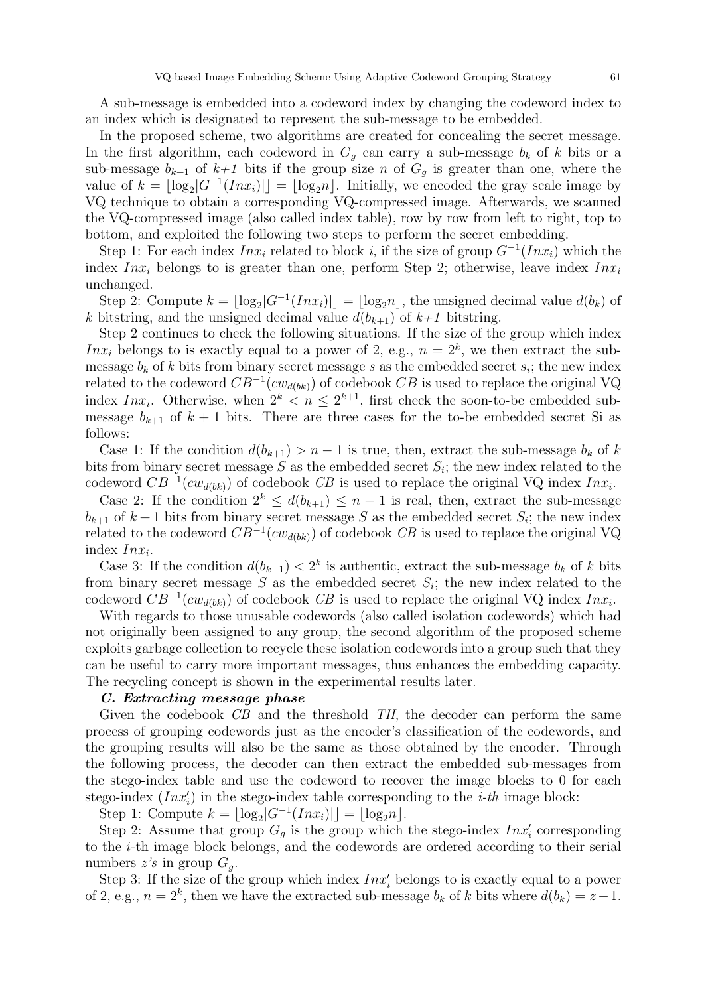A sub-message is embedded into a codeword index by changing the codeword index to an index which is designated to represent the sub-message to be embedded.

In the proposed scheme, two algorithms are created for concealing the secret message. In the first algorithm, each codeword in  $G_q$  can carry a sub-message  $b_k$  of k bits or a sub-message  $b_{k+1}$  of  $k+1$  bits if the group size n of  $G_g$  is greater than one, where the value of  $k = \lfloor \log_2 |G^{-1}(Inx_i)| \rfloor = \lfloor \log_2 n \rfloor$ . Initially, we encoded the gray scale image by VQ technique to obtain a corresponding VQ-compressed image. Afterwards, we scanned the VQ-compressed image (also called index table), row by row from left to right, top to bottom, and exploited the following two steps to perform the secret embedding.

Step 1: For each index  $Inx_i$  related to block i, if the size of group  $G^{-1}(Inx_i)$  which the index  $Inx_i$  belongs to is greater than one, perform Step 2; otherwise, leave index  $Inx_i$ unchanged.

Step 2: Compute  $k = \lfloor \log_2 |G^{-1}(Inx_i)| \rfloor = \lfloor \log_2 n \rfloor$ , the unsigned decimal value  $d(b_k)$  of k bitstring, and the unsigned decimal value  $d(b_{k+1})$  of  $k+1$  bitstring.

Step 2 continues to check the following situations. If the size of the group which index Inx<sub>i</sub> belongs to is exactly equal to a power of 2, e.g.,  $n = 2<sup>k</sup>$ , we then extract the submessage  $b_k$  of k bits from binary secret message s as the embedded secret  $s_i$ ; the new index related to the codeword  $CB^{-1}(cw_{d(bk)})$  of codebook  $CB$  is used to replace the original VQ index  $Inx_i$ . Otherwise, when  $2^k < n \leq 2^{k+1}$ , first check the soon-to-be embedded submessage  $b_{k+1}$  of  $k+1$  bits. There are three cases for the to-be embedded secret Si as follows:

Case 1: If the condition  $d(b_{k+1}) > n-1$  is true, then, extract the sub-message  $b_k$  of k bits from binary secret message  $S$  as the embedded secret  $S_i$ ; the new index related to the codeword  $CB^{-1}(cw_{d(bk)})$  of codebook CB is used to replace the original VQ index  $Inx_i$ .

Case 2: If the condition  $2^k \leq d(b_{k+1}) \leq n-1$  is real, then, extract the sub-message  $b_{k+1}$  of  $k+1$  bits from binary secret message S as the embedded secret  $S_i$ ; the new index related to the codeword  $CB^{-1}(cw_{d(bk)})$  of codebook CB is used to replace the original VQ index  $Inx_i$ .

Case 3: If the condition  $d(b_{k+1}) < 2^k$  is authentic, extract the sub-message  $b_k$  of k bits from binary secret message  $S$  as the embedded secret  $S_i$ ; the new index related to the codeword  $CB^{-1}(cw_{d(bk)})$  of codebook CB is used to replace the original VQ index  $Inx_i$ .

With regards to those unusable codewords (also called isolation codewords) which had not originally been assigned to any group, the second algorithm of the proposed scheme exploits garbage collection to recycle these isolation codewords into a group such that they can be useful to carry more important messages, thus enhances the embedding capacity. The recycling concept is shown in the experimental results later.

#### C. Extracting message phase

Given the codebook  $\overline{CB}$  and the threshold  $\overline{TH}$ , the decoder can perform the same process of grouping codewords just as the encoder's classification of the codewords, and the grouping results will also be the same as those obtained by the encoder. Through the following process, the decoder can then extract the embedded sub-messages from the stego-index table and use the codeword to recover the image blocks to 0 for each stego-index  $(Inx_i')$  in the stego-index table corresponding to the *i-th* image block:

Step 1: Compute  $k = \lfloor \log_2 |G^{-1}(Inx_i)| \rfloor = \lfloor \log_2 n \rfloor$ .

Step 2: Assume that group  $G_g$  is the group which the stego-index  $Inx'_i$  corresponding to the i-th image block belongs, and the codewords are ordered according to their serial numbers  $z's$  in group  $G_q$ .

Step 3: If the size of the group which index  $Inx_i'$  belongs to is exactly equal to a power of 2, e.g.,  $n = 2<sup>k</sup>$ , then we have the extracted sub-message  $b<sub>k</sub>$  of k bits where  $d(b<sub>k</sub>) = z - 1$ .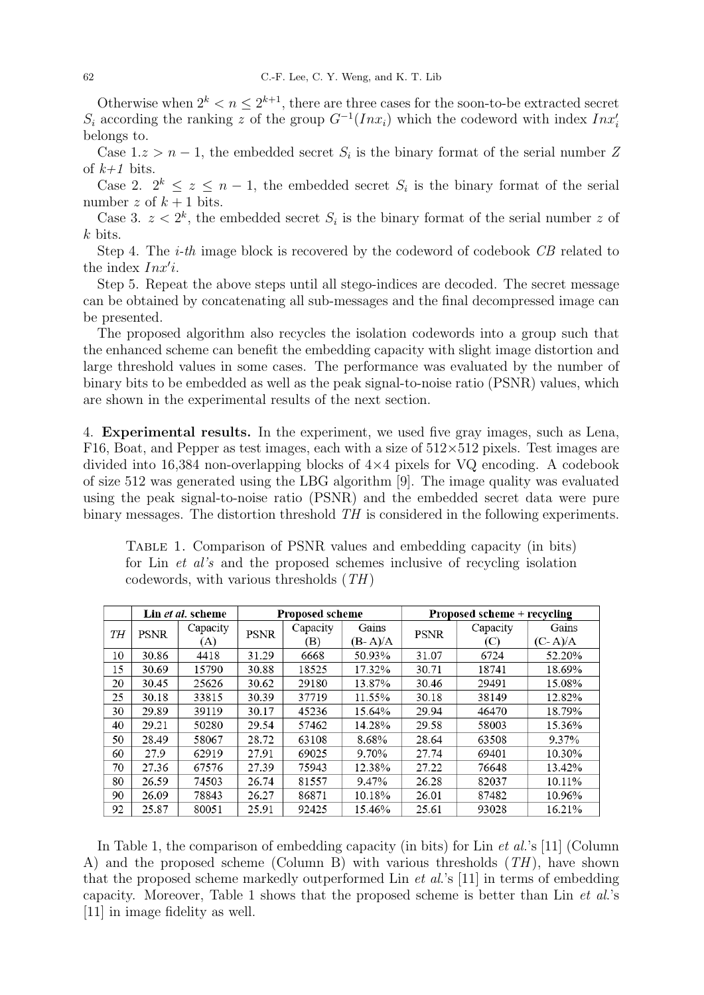Otherwise when  $2^k < n \leq 2^{k+1}$ , there are three cases for the soon-to-be extracted secret  $S_i$  according the ranking z of the group  $G^{-1}(Inx_i)$  which the codeword with index  $Inx_i'$ belongs to.

Case  $1 \text{.} z > n - 1$ , the embedded secret  $S_i$  is the binary format of the serial number Z of  $k+1$  bits.

Case 2.  $2^k \leq z \leq n-1$ , the embedded secret  $S_i$  is the binary format of the serial number z of  $k+1$  bits.

Case 3.  $z < 2<sup>k</sup>$ , the embedded secret  $S<sub>i</sub>$  is the binary format of the serial number z of k bits.

Step 4. The *i-th* image block is recovered by the codeword of codebook CB related to the index  $Inx'i$ .

Step 5. Repeat the above steps until all stego-indices are decoded. The secret message can be obtained by concatenating all sub-messages and the final decompressed image can be presented.

The proposed algorithm also recycles the isolation codewords into a group such that the enhanced scheme can benefit the embedding capacity with slight image distortion and large threshold values in some cases. The performance was evaluated by the number of binary bits to be embedded as well as the peak signal-to-noise ratio (PSNR) values, which are shown in the experimental results of the next section.

4. Experimental results. In the experiment, we used five gray images, such as Lena, F16, Boat, and Pepper as test images, each with a size of  $512\times512$  pixels. Test images are divided into 16,384 non-overlapping blocks of  $4\times4$  pixels for VQ encoding. A codebook of size 512 was generated using the LBG algorithm [9]. The image quality was evaluated using the peak signal-to-noise ratio (PSNR) and the embedded secret data were pure binary messages. The distortion threshold TH is considered in the following experiments.

|    | Lin <i>et al.</i> scheme |                 | <b>Proposed scheme</b> |                |                  | Proposed scheme + recycling |                 |                    |  |
|----|--------------------------|-----------------|------------------------|----------------|------------------|-----------------------------|-----------------|--------------------|--|
| TH | <b>PSNR</b>              | Capacity<br>(A) | <b>PSNR</b>            | Capacity<br>B) | Gains<br>(B-A)/A | <b>PSNR</b>                 | Capacity<br>(C) | Gains<br>$(C-A)/A$ |  |
| 10 | 30.86                    | 4418            | 31.29                  | 6668           | 50.93%           | 31.07                       | 6724            | 52.20%             |  |
| 15 | 30.69                    | 15790           | 30.88                  | 18525          | 17.32%           | 30.71                       | 18741           | 18.69%             |  |
| 20 | 30.45                    | 25626           | 30.62                  | 29180          | 13.87%           | 30.46                       | 29491           | 15.08%             |  |
| 25 | 30.18                    | 33815           | 30.39                  | 37719          | 11.55%           | 30.18                       | 38149           | 12.82%             |  |
| 30 | 29.89                    | 39119           | 30.17                  | 45236          | 15.64%           | 29.94                       | 46470           | 18.79%             |  |
| 40 | 29.21                    | 50280           | 29.54                  | 57462          | 14.28%           | 29.58                       | 58003           | 15.36%             |  |
| 50 | 28.49                    | 58067           | 28.72                  | 63108          | 8.68%            | 28.64                       | 63508           | 9.37%              |  |
| 60 | 27.9                     | 62919           | 27.91                  | 69025          | 9.70%            | 27.74                       | 69401           | 10.30%             |  |
| 70 | 27.36                    | 67576           | 27.39                  | 75943          | 12.38%           | 27.22                       | 76648           | 13.42%             |  |
| 80 | 26.59                    | 74503           | 26.74                  | 81557          | 9.47%            | 26.28                       | 82037           | 10.11%             |  |
| 90 | 26.09                    | 78843           | 26.27                  | 86871          | 10.18%           | 26.01                       | 87482           | 10.96%             |  |
| 92 | 25.87                    | 80051           | 25.91                  | 92425          | 15.46%           | 25.61                       | 93028           | 16.21%             |  |

Table 1. Comparison of PSNR values and embedding capacity (in bits) for Lin et al's and the proposed schemes inclusive of recycling isolation codewords, with various thresholds  $(TH)$ 

In Table 1, the comparison of embedding capacity (in bits) for Lin *et al.*'s [11] (Column A) and the proposed scheme (Column B) with various thresholds  $(TH)$ , have shown that the proposed scheme markedly outperformed Lin  $et$  al.'s [11] in terms of embedding capacity. Moreover, Table 1 shows that the proposed scheme is better than Lin et al.'s [11] in image fidelity as well.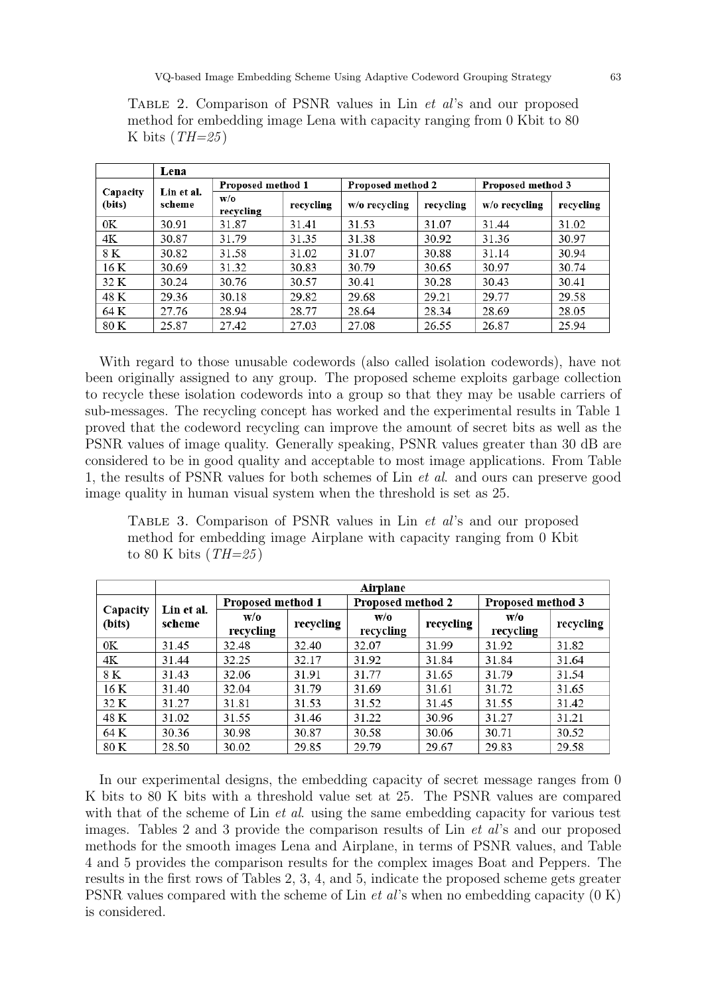Table 2. Comparison of PSNR values in Lin et al's and our proposed method for embedding image Lena with capacity ranging from 0 Kbit to 80 K bits  $(TH=25)$ 

|                    | Lena                 |                   |           |                   |           |                   |           |
|--------------------|----------------------|-------------------|-----------|-------------------|-----------|-------------------|-----------|
|                    | Lin et al.<br>scheme | Proposed method 1 |           | Proposed method 2 |           | Proposed method 3 |           |
| Capacity<br>(bits) |                      | W/O<br>recycling  | recycling | $w/o$ recycling   | recycling | $w/o$ recycling   | recycling |
| 0K                 | 30.91                | 31.87             | 31.41     | 31.53             | 31.07     | 31.44             | 31.02     |
| 4Κ                 | 30.87                | 31.79             | 31.35     | 31.38             | 30.92     | 31.36             | 30.97     |
| 8 K                | 30.82                | 31.58             | 31.02     | 31.07             | 30.88     | 31.14             | 30.94     |
| 16 K               | 30.69                | 31.32             | 30.83     | 30.79             | 30.65     | 30.97             | 30.74     |
| 32 K               | 30.24                | 30.76             | 30.57     | 30.41             | 30.28     | 30.43             | 30.41     |
| 48 K               | 29.36                | 30.18             | 29.82     | 29.68             | 29.21     | 29.77             | 29.58     |
| 64 K               | 27.76                | 28.94             | 28.77     | 28.64             | 28.34     | 28.69             | 28.05     |
| 80 K               | 25.87                | 27.42             | 27.03     | 27.08             | 26.55     | 26.87             | 25.94     |

With regard to those unusable codewords (also called isolation codewords), have not been originally assigned to any group. The proposed scheme exploits garbage collection to recycle these isolation codewords into a group so that they may be usable carriers of sub-messages. The recycling concept has worked and the experimental results in Table 1 proved that the codeword recycling can improve the amount of secret bits as well as the PSNR values of image quality. Generally speaking, PSNR values greater than 30 dB are considered to be in good quality and acceptable to most image applications. From Table 1, the results of PSNR values for both schemes of Lin et al. and ours can preserve good image quality in human visual system when the threshold is set as 25.

Table 3. Comparison of PSNR values in Lin et al's and our proposed method for embedding image Airplane with capacity ranging from 0 Kbit to 80 K bits  $(TH=25)$ 

|                    | Airplane             |                   |           |                   |           |                   |           |  |
|--------------------|----------------------|-------------------|-----------|-------------------|-----------|-------------------|-----------|--|
|                    | Lin et al.<br>scheme | Proposed method 1 |           | Proposed method 2 |           | Proposed method 3 |           |  |
| Capacity<br>(bits) |                      | W/O<br>recycling  | recycling | W/O<br>recycling  | recycling | W/O<br>recycling  | recycling |  |
| 0K                 | 31.45                | 32.48             | 32.40     | 32.07             | 31.99     | 31.92             | 31.82     |  |
| 4Κ                 | 31.44                | 32.25             | 32.17     | 31.92             | 31.84     | 31.84             | 31.64     |  |
| 8 K                | 31.43                | 32.06             | 31.91     | 31.77             | 31.65     | 31.79             | 31.54     |  |
| 16 K               | 31.40                | 32.04             | 31.79     | 31.69             | 31.61     | 31.72             | 31.65     |  |
| 32 K               | 31.27                | 31.81             | 31.53     | 31.52             | 31.45     | 31.55             | 31.42     |  |
| 48 K               | 31.02                | 31.55             | 31.46     | 31.22             | 30.96     | 31.27             | 31.21     |  |
| 64 K               | 30.36                | 30.98             | 30.87     | 30.58             | 30.06     | 30.71             | 30.52     |  |
| 80 K               | 28.50                | 30.02             | 29.85     | 29.79             | 29.67     | 29.83             | 29.58     |  |

In our experimental designs, the embedding capacity of secret message ranges from 0 K bits to 80 K bits with a threshold value set at 25. The PSNR values are compared with that of the scheme of Lin *et al.* using the same embedding capacity for various test images. Tables 2 and 3 provide the comparison results of Lin et al's and our proposed methods for the smooth images Lena and Airplane, in terms of PSNR values, and Table 4 and 5 provides the comparison results for the complex images Boat and Peppers. The results in the first rows of Tables 2, 3, 4, and 5, indicate the proposed scheme gets greater PSNR values compared with the scheme of Lin *et al's* when no embedding capacity  $(0 K)$ is considered.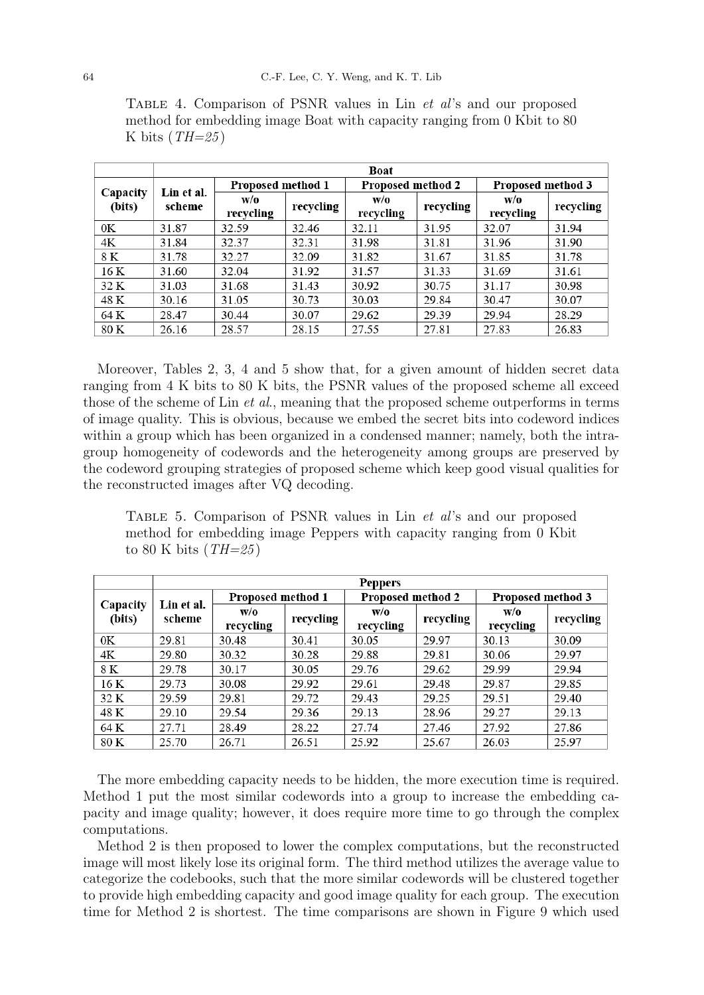|                    | Boat                 |                   |           |                   |           |                   |           |  |
|--------------------|----------------------|-------------------|-----------|-------------------|-----------|-------------------|-----------|--|
|                    | Lin et al.<br>scheme | Proposed method 1 |           | Proposed method 2 |           | Proposed method 3 |           |  |
| Capacity<br>(bits) |                      | W/O<br>recycling  | recycling | W/O<br>recycling  | recycling | W/O<br>recycling  | recycling |  |
| 0K                 | 31.87                | 32.59             | 32.46     | 32.11             | 31.95     | 32.07             | 31.94     |  |
| 4K                 | 31.84                | 32.37             | 32.31     | 31.98             | 31.81     | 31.96             | 31.90     |  |
| 8 K                | 31.78                | 32.27             | 32.09     | 31.82             | 31.67     | 31.85             | 31.78     |  |
| 16 K               | 31.60                | 32.04             | 31.92     | 31.57             | 31.33     | 31.69             | 31.61     |  |
| 32 K               | 31.03                | 31.68             | 31.43     | 30.92             | 30.75     | 31.17             | 30.98     |  |
| 48 K               | 30.16                | 31.05             | 30.73     | 30.03             | 29.84     | 30.47             | 30.07     |  |
| 64 K               | 28.47                | 30.44             | 30.07     | 29.62             | 29.39     | 29.94             | 28.29     |  |
| 80 K               | 26.16                | 28.57             | 28.15     | 27.55             | 27.81     | 27.83             | 26.83     |  |

Table 4. Comparison of PSNR values in Lin et al's and our proposed method for embedding image Boat with capacity ranging from 0 Kbit to 80 K bits  $(TH=25)$ 

Moreover, Tables 2, 3, 4 and 5 show that, for a given amount of hidden secret data ranging from 4 K bits to 80 K bits, the PSNR values of the proposed scheme all exceed those of the scheme of Lin *et al.*, meaning that the proposed scheme outperforms in terms of image quality. This is obvious, because we embed the secret bits into codeword indices within a group which has been organized in a condensed manner; namely, both the intragroup homogeneity of codewords and the heterogeneity among groups are preserved by the codeword grouping strategies of proposed scheme which keep good visual qualities for the reconstructed images after VQ decoding.

Table 5. Comparison of PSNR values in Lin et al's and our proposed method for embedding image Peppers with capacity ranging from 0 Kbit to 80 K bits  $(TH=25)$ 

|                    | <b>Peppers</b>       |                   |           |                   |           |                   |           |  |
|--------------------|----------------------|-------------------|-----------|-------------------|-----------|-------------------|-----------|--|
|                    | Lin et al.<br>scheme | Proposed method 1 |           | Proposed method 2 |           | Proposed method 3 |           |  |
| Capacity<br>(bits) |                      | W/0               | recycling | W/O               | recycling | W/O               | recycling |  |
|                    |                      | recycling         |           | recycling         |           | recycling         |           |  |
| 0K                 | 29.81                | 30.48             | 30.41     | 30.05             | 29.97     | 30.13             | 30.09     |  |
| 4K                 | 29.80                | 30.32             | 30.28     | 29.88             | 29.81     | 30.06             | 29.97     |  |
| 8 K                | 29.78                | 30.17             | 30.05     | 29.76             | 29.62     | 29.99             | 29.94     |  |
| 16 K               | 29.73                | 30.08             | 29.92     | 29.61             | 29.48     | 29.87             | 29.85     |  |
| 32 K               | 29.59                | 29.81             | 29.72     | 29.43             | 29.25     | 29.51             | 29.40     |  |
| 48 K               | 29.10                | 29.54             | 29.36     | 29.13             | 28.96     | 29.27             | 29.13     |  |
| 64 K               | 27.71                | 28.49             | 28.22     | 27.74             | 27.46     | 27.92             | 27.86     |  |
| 80 K               | 25.70                | 26.71             | 26.51     | 25.92             | 25.67     | 26.03             | 25.97     |  |

The more embedding capacity needs to be hidden, the more execution time is required. Method 1 put the most similar codewords into a group to increase the embedding capacity and image quality; however, it does require more time to go through the complex computations.

Method 2 is then proposed to lower the complex computations, but the reconstructed image will most likely lose its original form. The third method utilizes the average value to categorize the codebooks, such that the more similar codewords will be clustered together to provide high embedding capacity and good image quality for each group. The execution time for Method 2 is shortest. The time comparisons are shown in Figure 9 which used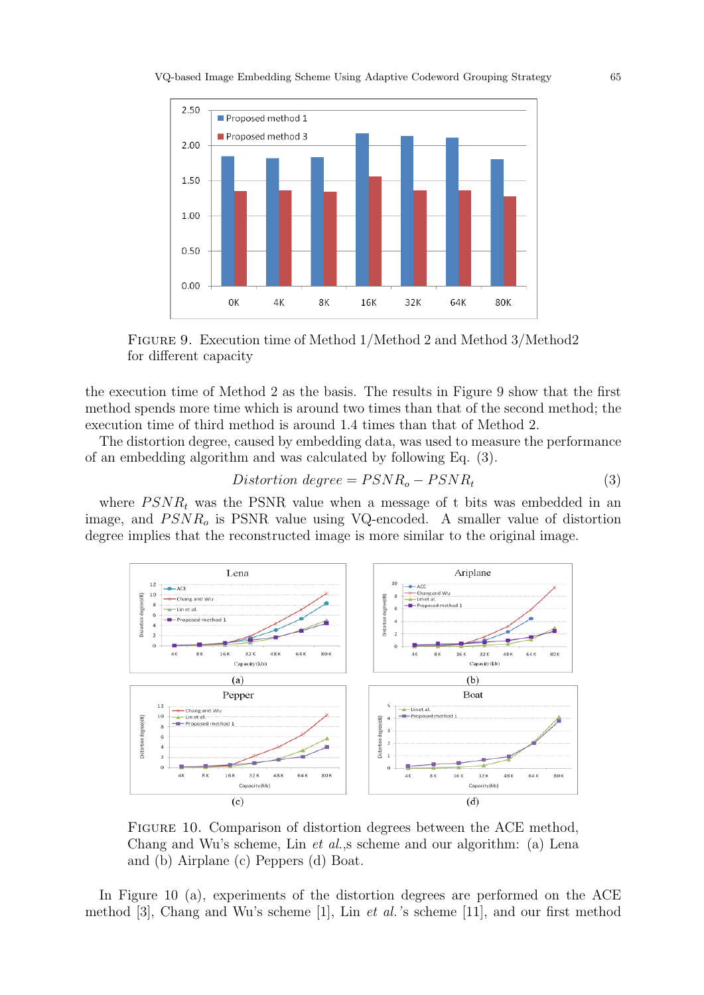

Figure 9. Execution time of Method 1/Method 2 and Method 3/Method2 for different capacity

the execution time of Method 2 as the basis. The results in Figure 9 show that the first method spends more time which is around two times than that of the second method; the execution time of third method is around 1.4 times than that of Method 2.

The distortion degree, caused by embedding data, was used to measure the performance of an embedding algorithm and was calculated by following Eq. (3).

$$
Distortion\ degree = PSNR_o - PSNR_t \tag{3}
$$

where  $PSNR<sub>t</sub>$  was the PSNR value when a message of t bits was embedded in an image, and  $PSNR<sub>o</sub>$  is PSNR value using VQ-encoded. A smaller value of distortion degree implies that the reconstructed image is more similar to the original image.



Figure 10. Comparison of distortion degrees between the ACE method, Chang and Wu's scheme, Lin et al.,s scheme and our algorithm: (a) Lena and (b) Airplane (c) Peppers (d) Boat.

In Figure 10 (a), experiments of the distortion degrees are performed on the ACE method [3], Chang and Wu's scheme [1], Lin et al.'s scheme [11], and our first method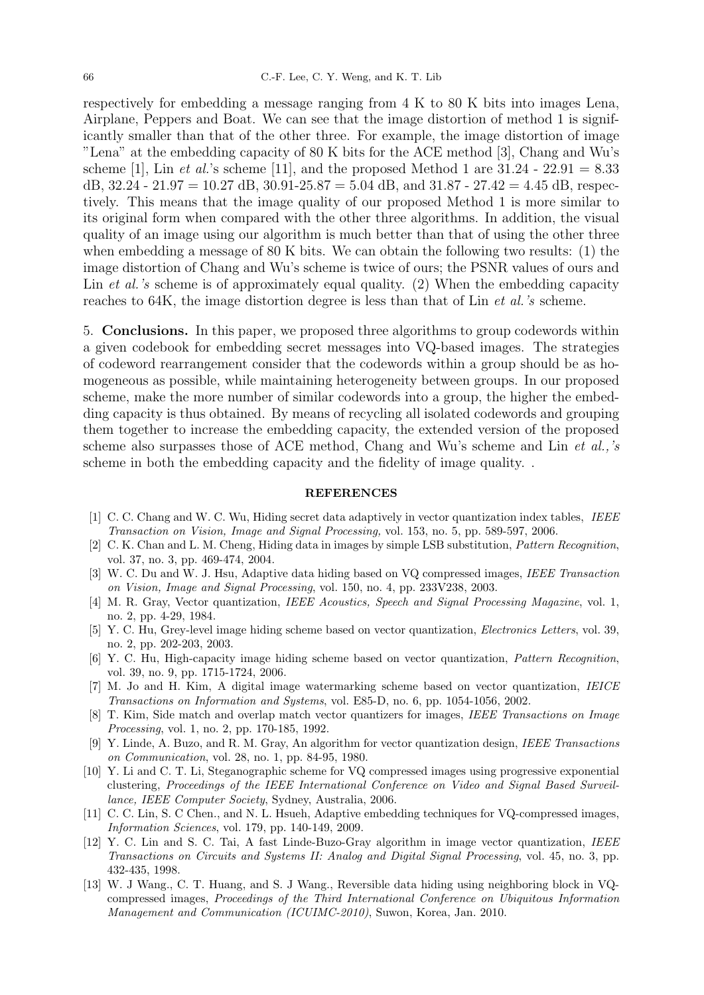respectively for embedding a message ranging from 4 K to 80 K bits into images Lena, Airplane, Peppers and Boat. We can see that the image distortion of method 1 is significantly smaller than that of the other three. For example, the image distortion of image "Lena" at the embedding capacity of 80 K bits for the ACE method [3], Chang and Wu's scheme [1], Lin *et al.*'s scheme [11], and the proposed Method 1 are  $31.24 - 22.91 = 8.33$ dB,  $32.24 - 21.97 = 10.27$  dB,  $30.91 - 25.87 = 5.04$  dB, and  $31.87 - 27.42 = 4.45$  dB, respectively. This means that the image quality of our proposed Method 1 is more similar to its original form when compared with the other three algorithms. In addition, the visual quality of an image using our algorithm is much better than that of using the other three when embedding a message of 80 K bits. We can obtain the following two results: (1) the image distortion of Chang and Wu's scheme is twice of ours; the PSNR values of ours and Lin *et al.'s* scheme is of approximately equal quality. (2) When the embedding capacity reaches to 64K, the image distortion degree is less than that of Lin et al.'s scheme.

5. Conclusions. In this paper, we proposed three algorithms to group codewords within a given codebook for embedding secret messages into VQ-based images. The strategies of codeword rearrangement consider that the codewords within a group should be as homogeneous as possible, while maintaining heterogeneity between groups. In our proposed scheme, make the more number of similar codewords into a group, the higher the embedding capacity is thus obtained. By means of recycling all isolated codewords and grouping them together to increase the embedding capacity, the extended version of the proposed scheme also surpasses those of ACE method, Chang and Wu's scheme and Lin et al.,'s scheme in both the embedding capacity and the fidelity of image quality. .

#### REFERENCES

- [1] C. C. Chang and W. C. Wu, Hiding secret data adaptively in vector quantization index tables, IEEE Transaction on Vision, Image and Signal Processing, vol. 153, no. 5, pp. 589-597, 2006.
- [2] C. K. Chan and L. M. Cheng, Hiding data in images by simple LSB substitution, Pattern Recognition, vol. 37, no. 3, pp. 469-474, 2004.
- [3] W. C. Du and W. J. Hsu, Adaptive data hiding based on VQ compressed images, IEEE Transaction on Vision, Image and Signal Processing, vol. 150, no. 4, pp. 233V238, 2003.
- [4] M. R. Gray, Vector quantization, IEEE Acoustics, Speech and Signal Processing Magazine, vol. 1, no. 2, pp. 4-29, 1984.
- [5] Y. C. Hu, Grey-level image hiding scheme based on vector quantization, Electronics Letters, vol. 39, no. 2, pp. 202-203, 2003.
- [6] Y. C. Hu, High-capacity image hiding scheme based on vector quantization, Pattern Recognition, vol. 39, no. 9, pp. 1715-1724, 2006.
- [7] M. Jo and H. Kim, A digital image watermarking scheme based on vector quantization, IEICE Transactions on Information and Systems, vol. E85-D, no. 6, pp. 1054-1056, 2002.
- [8] T. Kim, Side match and overlap match vector quantizers for images, IEEE Transactions on Image Processing, vol. 1, no. 2, pp. 170-185, 1992.
- [9] Y. Linde, A. Buzo, and R. M. Gray, An algorithm for vector quantization design, IEEE Transactions on Communication, vol. 28, no. 1, pp. 84-95, 1980.
- [10] Y. Li and C. T. Li, Steganographic scheme for VQ compressed images using progressive exponential clustering, Proceedings of the IEEE International Conference on Video and Signal Based Surveillance, IEEE Computer Society, Sydney, Australia, 2006.
- [11] C. C. Lin, S. C Chen., and N. L. Hsueh, Adaptive embedding techniques for VQ-compressed images, Information Sciences, vol. 179, pp. 140-149, 2009.
- [12] Y. C. Lin and S. C. Tai, A fast Linde-Buzo-Gray algorithm in image vector quantization, IEEE Transactions on Circuits and Systems II: Analog and Digital Signal Processing, vol. 45, no. 3, pp. 432-435, 1998.
- [13] W. J Wang., C. T. Huang, and S. J Wang., Reversible data hiding using neighboring block in VQcompressed images, Proceedings of the Third International Conference on Ubiquitous Information Management and Communication (ICUIMC-2010), Suwon, Korea, Jan. 2010.